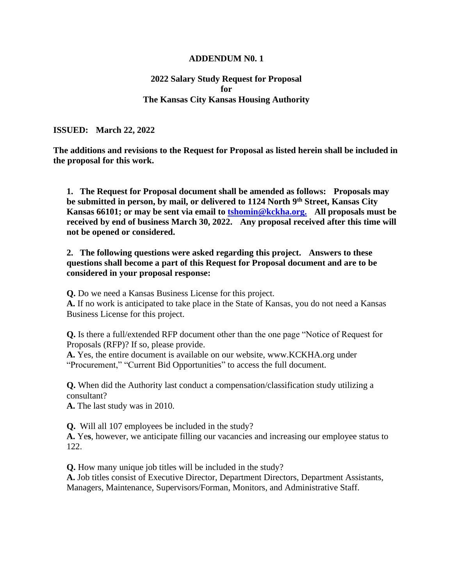## **ADDENDUM N0. 1**

## **2022 Salary Study Request for Proposal for The Kansas City Kansas Housing Authority**

**ISSUED: March 22, 2022**

**The additions and revisions to the Request for Proposal as listed herein shall be included in the proposal for this work.**

**1. The Request for Proposal document shall be amended as follows: Proposals may be submitted in person, by mail, or delivered to 1124 North 9th Street, Kansas City Kansas 66101; or may be sent via email to [tshomin@kckha.org.](mailto:tshomin@kckha.org) All proposals must be received by end of business March 30, 2022. Any proposal received after this time will not be opened or considered.**

**2. The following questions were asked regarding this project. Answers to these questions shall become a part of this Request for Proposal document and are to be considered in your proposal response:**

**Q.** Do we need a Kansas Business License for this project.

**A.** If no work is anticipated to take place in the State of Kansas, you do not need a Kansas Business License for this project.

**Q.** Is there a full/extended RFP document other than the one page "Notice of Request for Proposals (RFP)? If so, please provide.

**A.** Yes, the entire document is available on our website, www.KCKHA.org under "Procurement," "Current Bid Opportunities" to access the full document.

**Q.** When did the Authority last conduct a compensation/classification study utilizing a consultant?

**A.** The last study was in 2010.

**Q.** Will all 107 employees be included in the study?

**A.** Ye**s**, however, we anticipate filling our vacancies and increasing our employee status to 122.

**Q.** How many unique job titles will be included in the study?

**A.** Job titles consist of Executive Director, Department Directors, Department Assistants, Managers, Maintenance, Supervisors/Forman, Monitors, and Administrative Staff.